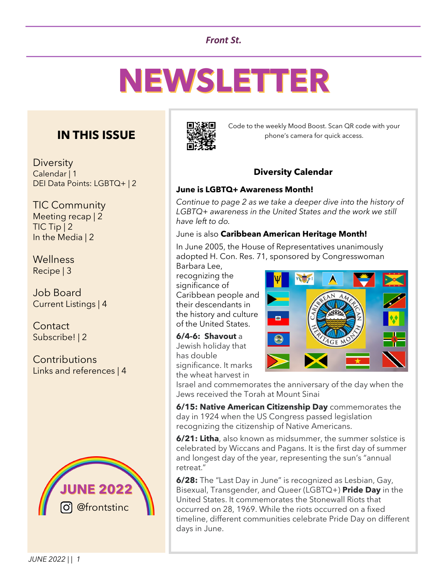## *Front St.*

# **NEWSLETTER**

## **IN THIS ISSUE**

**Diversity** Calendar | 1 DEI Data Points: LGBTQ+ | 2

TIC Community Meeting recap | 2 TIC Tip | 2 In the Media | 2

Wellness Recipe | 3

Job Board Current Listings | 4

**Contact** Subscribe! | 2

**Contributions** Links and references | 4





Code to the weekly Mood Boost. Scan QR code with your phone's camera for quick access.

## **Diversity Calendar**

## **June is LGBTQ+ Awareness Month!**

*Continue to page 2 as we take a deeper dive into the history of LGBTQ+ awareness in the United States and the work we still have left to do.* 

#### June is also **Caribbean American Heritage Month!**

In June 2005, the House of Representatives unanimously adopted H. Con. Res. 71, sponsored by Congresswoman

Barbara Lee, recognizing the significance of Caribbean people and their descendants in the history and culture of the United States.

**6/4-6: Shavout** a Jewish holiday that has double significance. It marks the wheat harvest in



Israel and commemorates the anniversary of the day when the Jews received the Torah at Mount Sinai

**6/15: Native American Citizenship Day** commemorates the day in 1924 when the US Congress passed legislation recognizing the citizenship of Native Americans.

**6/21: Litha**, also known as midsummer, the summer solstice is celebrated by Wiccans and Pagans. It is the first day of summer and longest day of the year, representing the sun's "annual retreat."

**6/28:** The "Last Day in June" is recognized as Lesbian, Gay, Bisexual, Transgender, and Queer (LGBTQ+) **Pride Day** in the United States. It commemorates the Stonewall Riots that occurred on 28, 1969. While the riots occurred on a fixed timeline, different communities celebrate Pride Day on different days in June.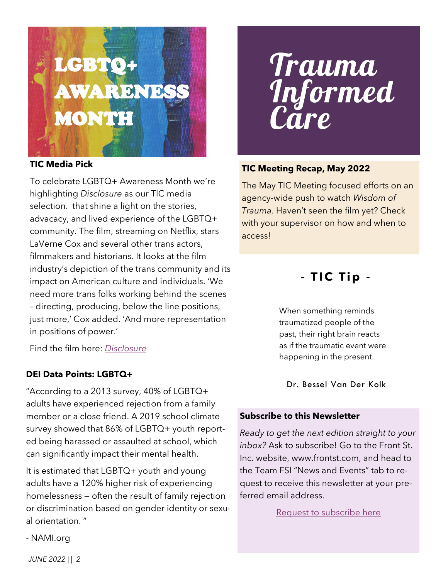

## **TIC Media Pick**

To celebrate LGBTQ+ Awareness Month we're highlighting *Disclosure* as our TIC media selection. that shine a light on the stories, advacacy, and lived experience of the LGBTQ+ community. The film, streaming on Netflix, stars LaVerne Cox and several other trans actors, filmmakers and historians. It looks at the film industry's depiction of the trans community and its impact on American culture and individuals. 'We need more trans folks working behind the scenes – directing, producing, below the line positions, just more,' Cox added. 'And more representation in positions of power.'

Find the film here: *[Disclosure](https://www.netflix.com/title/81284247)*

## **DEI Data Points: LGBTQ+**

"According to a 2013 survey, 40% of LGBTQ+ adults have experienced rejection from a family member or a close friend. A 2019 school climate survey showed that 86% of LGBTQ+ youth reported being harassed or assaulted at school, which can significantly impact their mental health.

It is estimated that LGBTQ+ youth and young adults have a 120% higher risk of experiencing homelessness — often the result of family rejection or discrimination based on gender identity or sexual orientation. "

## Trauma Informed are

## **TIC Meeting Recap, May 2022**

The May TIC Meeting focused efforts on an agency-wide push to watch *Wisdom of Trauma.* Haven't seen the film yet? Check with your supervisor on how and when to access!

## **- T I C T i p -**

When something reminds traumatized people of the past, their right brain reacts as if the traumatic event were happening in the present.

Dr. Bessel Van Der Kolk

#### **Subscribe to this Newsletter**

*Ready to get the next edition straight to your inbox?* Ask to subscribe! Go to the Front St. Inc. website, www.frontst.com, and head to the Team FSI "News and Events" tab to request to receive this newsletter at your preferred email address.

[Request to subscribe here](http://www.frontst.com/news-events)

- NAMI.org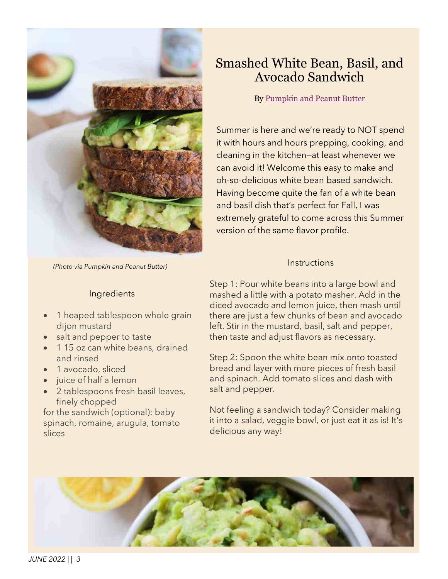

*(Photo via Pumpkin and Peanut Butter)*

## Ingredients

- 1 heaped tablespoon whole grain dijon mustard
- salt and pepper to taste
- 115 oz can white beans, drained and rinsed
- 1 avocado, sliced
- juice of half a lemon
- 2 tablespoons fresh basil leaves, finely chopped

for the sandwich (optional): baby spinach, romaine, arugula, tomato slices

## Smashed White Bean, Basil, and Avocado Sandwich

By [Pumpkin and Peanut Butter](http://pumpkinandpeanutbutter.com/2016/04/20/smashed-white-bean-basil-avocado-sandwich/)

Summer is here and we're ready to NOT spend it with hours and hours prepping, cooking, and cleaning in the kitchen—at least whenever we can avoid it! Welcome this easy to make and oh-so-delicious white bean based sandwich. Having become quite the fan of a white bean and basil dish that's perfect for Fall, I was extremely grateful to come across this Summer version of the same flavor profile.

#### **Instructions**

Step 1: Pour white beans into a large bowl and mashed a little with a potato masher. Add in the diced avocado and lemon juice, then mash until there are just a few chunks of bean and avocado left. Stir in the mustard, basil, salt and pepper, then taste and adjust flavors as necessary.

Step 2: Spoon the white bean mix onto toasted bread and layer with more pieces of fresh basil and spinach. Add tomato slices and dash with salt and pepper.

Not feeling a sandwich today? Consider making it into a salad, veggie bowl, or just eat it as is! It's delicious any way!